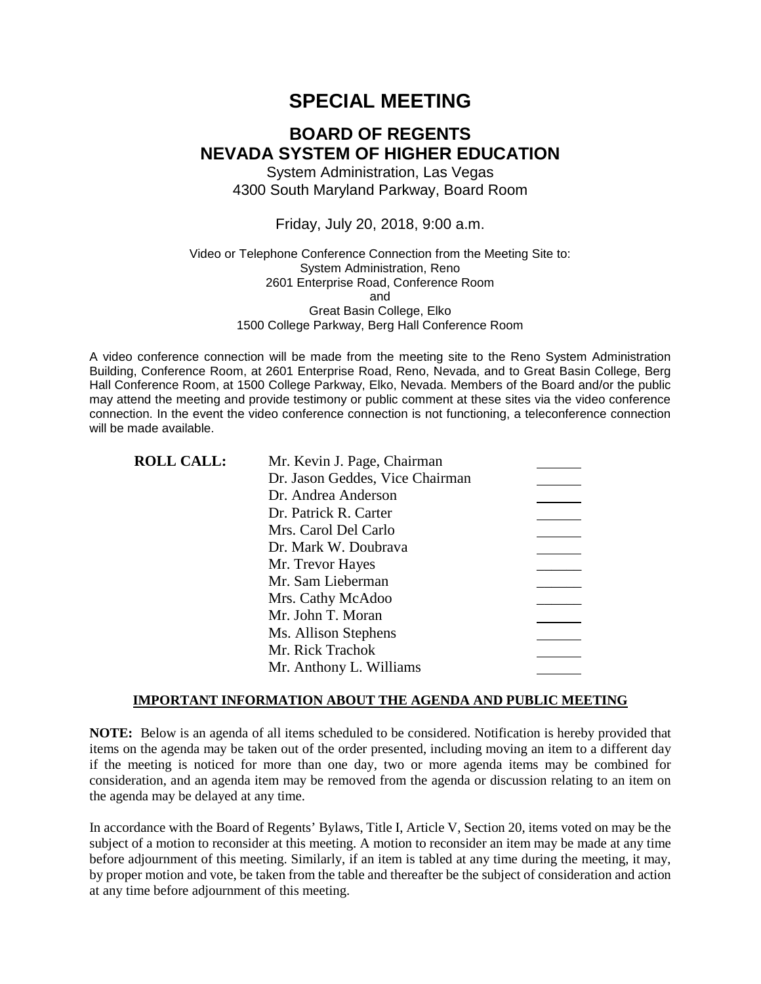# **SPECIAL MEETING**

# **BOARD OF REGENTS NEVADA SYSTEM OF HIGHER EDUCATION**

System Administration, Las Vegas 4300 South Maryland Parkway, Board Room

### Friday, July 20, 2018, 9:00 a.m.

### Video or Telephone Conference Connection from the Meeting Site to: System Administration, Reno 2601 Enterprise Road, Conference Room and Great Basin College, Elko 1500 College Parkway, Berg Hall Conference Room

A video conference connection will be made from the meeting site to the Reno System Administration Building, Conference Room, at 2601 Enterprise Road, Reno, Nevada, and to Great Basin College, Berg Hall Conference Room, at 1500 College Parkway, Elko, Nevada. Members of the Board and/or the public may attend the meeting and provide testimony or public comment at these sites via the video conference connection. In the event the video conference connection is not functioning, a teleconference connection will be made available.

| <b>ROLL CALL:</b> | Mr. Kevin J. Page, Chairman     |
|-------------------|---------------------------------|
|                   | Dr. Jason Geddes, Vice Chairman |
|                   | Dr. Andrea Anderson             |
|                   | Dr. Patrick R. Carter           |
|                   | Mrs. Carol Del Carlo            |
|                   | Dr. Mark W. Doubrava            |
|                   | Mr. Trevor Hayes                |
|                   | Mr. Sam Lieberman               |
|                   | Mrs. Cathy McAdoo               |
|                   | Mr. John T. Moran               |
|                   | Ms. Allison Stephens            |
|                   | Mr. Rick Trachok                |
|                   | Mr. Anthony L. Williams         |
|                   |                                 |

### **IMPORTANT INFORMATION ABOUT THE AGENDA AND PUBLIC MEETING**

**NOTE:** Below is an agenda of all items scheduled to be considered. Notification is hereby provided that items on the agenda may be taken out of the order presented, including moving an item to a different day if the meeting is noticed for more than one day, two or more agenda items may be combined for consideration, and an agenda item may be removed from the agenda or discussion relating to an item on the agenda may be delayed at any time.

In accordance with the Board of Regents' Bylaws, Title I, Article V, Section 20, items voted on may be the subject of a motion to reconsider at this meeting. A motion to reconsider an item may be made at any time before adjournment of this meeting. Similarly, if an item is tabled at any time during the meeting, it may, by proper motion and vote, be taken from the table and thereafter be the subject of consideration and action at any time before adjournment of this meeting.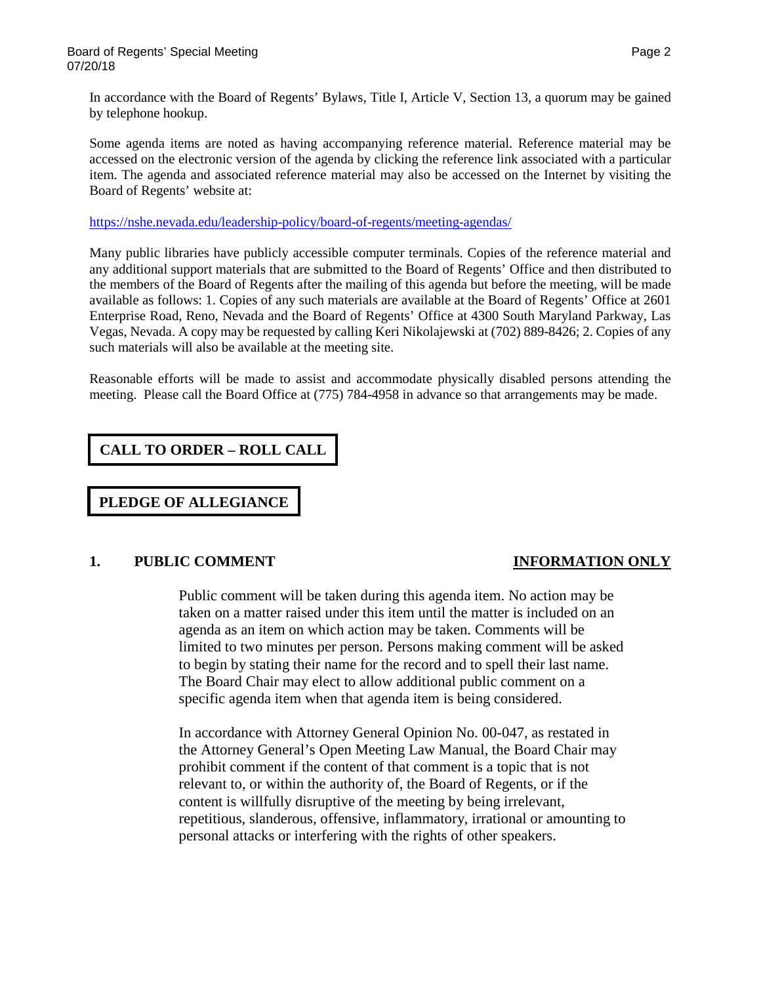In accordance with the Board of Regents' Bylaws, Title I, Article V, Section 13, a quorum may be gained by telephone hookup.

Some agenda items are noted as having accompanying reference material. Reference material may be accessed on the electronic version of the agenda by clicking the reference link associated with a particular item. The agenda and associated reference material may also be accessed on the Internet by visiting the Board of Regents' website at:

<https://nshe.nevada.edu/leadership-policy/board-of-regents/meeting-agendas/>

Many public libraries have publicly accessible computer terminals. Copies of the reference material and any additional support materials that are submitted to the Board of Regents' Office and then distributed to the members of the Board of Regents after the mailing of this agenda but before the meeting, will be made available as follows: 1. Copies of any such materials are available at the Board of Regents' Office at 2601 Enterprise Road, Reno, Nevada and the Board of Regents' Office at 4300 South Maryland Parkway, Las Vegas, Nevada. A copy may be requested by calling Keri Nikolajewski at (702) 889-8426; 2. Copies of any such materials will also be available at the meeting site.

Reasonable efforts will be made to assist and accommodate physically disabled persons attending the meeting. Please call the Board Office at (775) 784-4958 in advance so that arrangements may be made.

**CALL TO ORDER – ROLL CALL**

**PLEDGE OF ALLEGIANCE**

## **1. PUBLIC COMMENT INFORMATION ONLY**

Public comment will be taken during this agenda item. No action may be taken on a matter raised under this item until the matter is included on an agenda as an item on which action may be taken. Comments will be limited to two minutes per person. Persons making comment will be asked to begin by stating their name for the record and to spell their last name. The Board Chair may elect to allow additional public comment on a specific agenda item when that agenda item is being considered.

In accordance with Attorney General Opinion No. 00-047, as restated in the Attorney General's Open Meeting Law Manual, the Board Chair may prohibit comment if the content of that comment is a topic that is not relevant to, or within the authority of, the Board of Regents, or if the content is willfully disruptive of the meeting by being irrelevant, repetitious, slanderous, offensive, inflammatory, irrational or amounting to personal attacks or interfering with the rights of other speakers.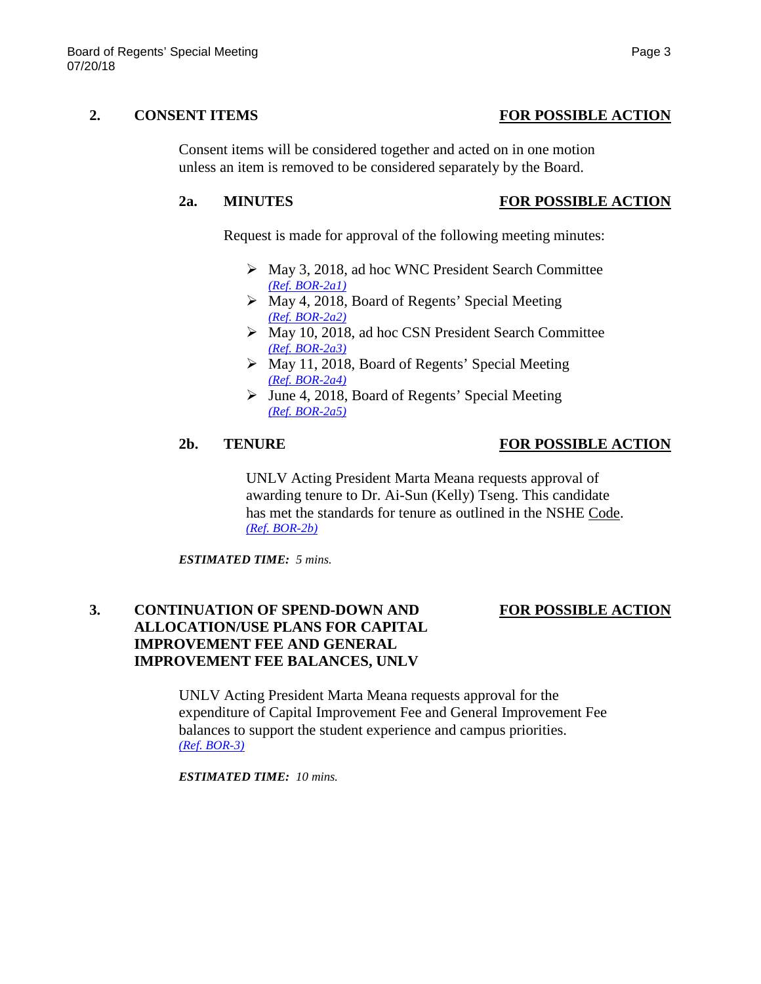## **2. CONSENT ITEMS FOR POSSIBLE ACTION**

Consent items will be considered together and acted on in one motion unless an item is removed to be considered separately by the Board.

### **2a. MINUTES FOR POSSIBLE ACTION**

Request is made for approval of the following meeting minutes:

- ▶ May 3, 2018, ad hoc WNC President Search Committee *[\(Ref. BOR-2a1\)](https://nshe.nevada.edu/wp-content/uploads/file/BoardOfRegents/Agendas/2018/jul-mtgs/bor-refs/BOR-2a1.pdf)*
- May 4, 2018, Board of Regents' Special Meeting *[\(Ref. BOR-2a2\)](https://nshe.nevada.edu/wp-content/uploads/file/BoardOfRegents/Agendas/2018/jul-mtgs/bor-refs/BOR-2a2.pdf)*
- May 10, 2018, ad hoc CSN President Search Committee *[\(Ref. BOR-2a3\)](https://nshe.nevada.edu/wp-content/uploads/file/BoardOfRegents/Agendas/2018/jul-mtgs/bor-refs/BOR-2a3.pdf)*
- $\triangleright$  May 11, 2018, Board of Regents' Special Meeting *[\(Ref. BOR-2a4\)](https://nshe.nevada.edu/wp-content/uploads/file/BoardOfRegents/Agendas/2018/jul-mtgs/bor-refs/BOR-2a4.pdf)*
- $\triangleright$  June 4, 2018, Board of Regents' Special Meeting *[\(Ref. BOR-2a5\)](https://nshe.nevada.edu/wp-content/uploads/file/BoardOfRegents/Agendas/2018/jul-mtgs/bor-refs/BOR-2a5.pdf)*

# **2b. TENURE FOR POSSIBLE ACTION**

# UNLV Acting President Marta Meana requests approval of awarding tenure to Dr. Ai-Sun (Kelly) Tseng. This candidate has met the standards for tenure as outlined in the NSHE Code. *[\(Ref. BOR-2b\)](https://nshe.nevada.edu/wp-content/uploads/file/BoardOfRegents/Agendas/2018/jul-mtgs/bor-refs/BOR-2b.pdf)*

*ESTIMATED TIME: 5 mins.*

# **3. CONTINUATION OF SPEND-DOWN AND FOR POSSIBLE ACTION ALLOCATION/USE PLANS FOR CAPITAL IMPROVEMENT FEE AND GENERAL IMPROVEMENT FEE BALANCES, UNLV**

UNLV Acting President Marta Meana requests approval for the expenditure of Capital Improvement Fee and General Improvement Fee balances to support the student experience and campus priorities. *[\(Ref. BOR-3\)](https://nshe.nevada.edu/wp-content/uploads/file/BoardOfRegents/Agendas/2018/jul-mtgs/bor-refs/BOR-3.pdf)*

*ESTIMATED TIME: 10 mins.*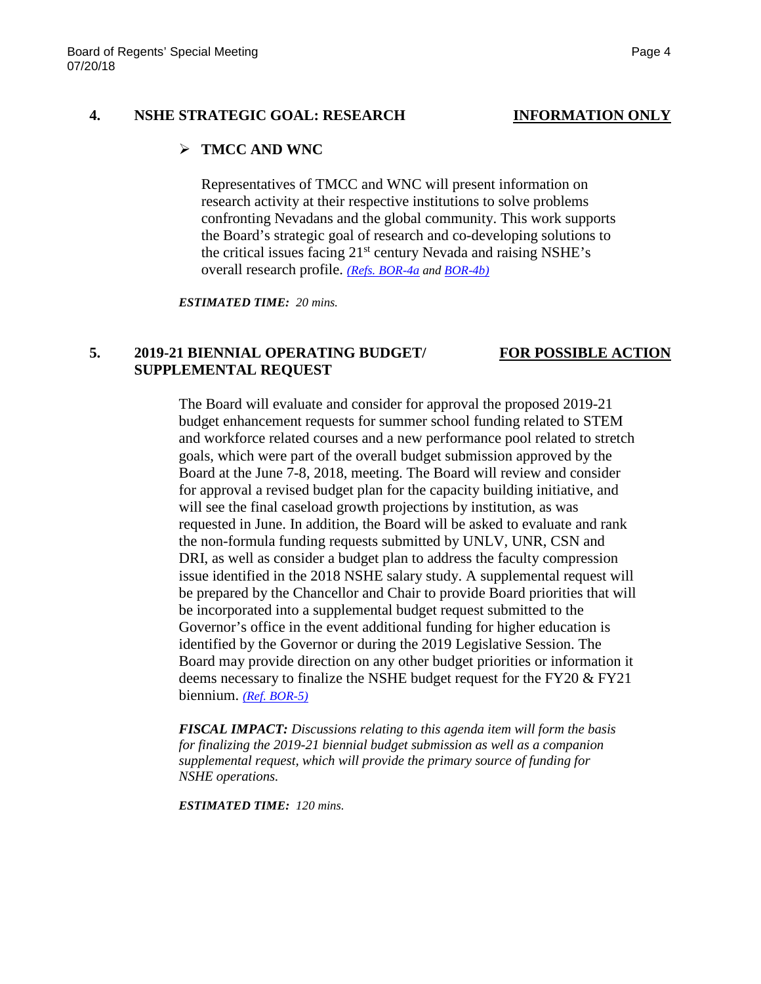### **4. NSHE STRATEGIC GOAL: RESEARCH INFORMATION ONLY**

## **TMCC AND WNC**

Representatives of TMCC and WNC will present information on research activity at their respective institutions to solve problems confronting Nevadans and the global community. This work supports the Board's strategic goal of research and co-developing solutions to the critical issues facing 21<sup>st</sup> century Nevada and raising NSHE's overall research profile. *[\(Refs. BOR-4a](https://nshe.nevada.edu/wp-content/uploads/file/BoardOfRegents/Agendas/2018/jul-mtgs/bor-refs/BOR-4a.pdf) an[d BOR-4b\)](https://nshe.nevada.edu/wp-content/uploads/file/BoardOfRegents/Agendas/2018/jul-mtgs/bor-refs/BOR-4b.pdf)*

*ESTIMATED TIME: 20 mins.*

# **5. 2019-21 BIENNIAL OPERATING BUDGET/ FOR POSSIBLE ACTION SUPPLEMENTAL REQUEST**

The Board will evaluate and consider for approval the proposed 2019-21 budget enhancement requests for summer school funding related to STEM and workforce related courses and a new performance pool related to stretch goals, which were part of the overall budget submission approved by the Board at the June 7-8, 2018, meeting. The Board will review and consider for approval a revised budget plan for the capacity building initiative, and will see the final caseload growth projections by institution, as was requested in June. In addition, the Board will be asked to evaluate and rank the non-formula funding requests submitted by UNLV, UNR, CSN and DRI, as well as consider a budget plan to address the faculty compression issue identified in the 2018 NSHE salary study. A supplemental request will be prepared by the Chancellor and Chair to provide Board priorities that will be incorporated into a supplemental budget request submitted to the Governor's office in the event additional funding for higher education is identified by the Governor or during the 2019 Legislative Session. The Board may provide direction on any other budget priorities or information it deems necessary to finalize the NSHE budget request for the FY20 & FY21 biennium. *[\(Ref. BOR-5\)](https://nshe.nevada.edu/wp-content/uploads/file/BoardOfRegents/Agendas/2018/jul-mtgs/bor-refs/BOR-5.pdf)*

*FISCAL IMPACT: Discussions relating to this agenda item will form the basis for finalizing the 2019-21 biennial budget submission as well as a companion supplemental request, which will provide the primary source of funding for NSHE operations.*

*ESTIMATED TIME: 120 mins.*